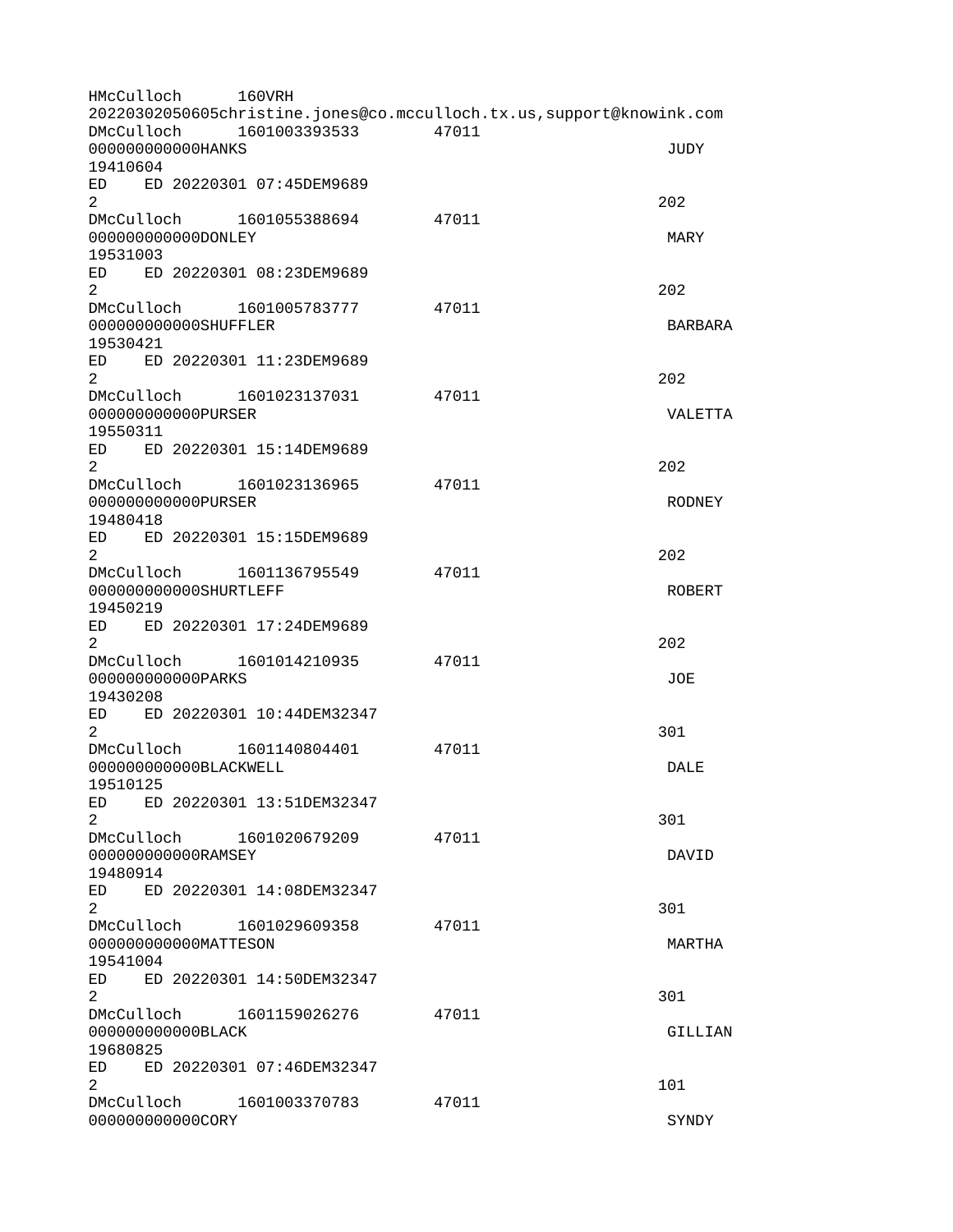| HMcCulloch                                   | <b>160VRH</b><br>20220302050605christine.jones@co.mcculloch.tx.us,support@knowink.com |       |                     |
|----------------------------------------------|---------------------------------------------------------------------------------------|-------|---------------------|
| DMcCulloch<br>00000000000HANKS               | 1601003393533                                                                         | 47011 | <b>JUDY</b>         |
| 19410604<br>ED<br>$\overline{2}$             | ED 20220301 07:45DEM9689                                                              |       | 202                 |
| DMcCulloch<br>0000000000000NLEY              | 1601055388694                                                                         | 47011 | <b>MARY</b>         |
| 19531003<br>ED                               | ED 20220301 08:23DEM9689                                                              |       |                     |
| $\overline{c}$<br>DMcCulloch                 | 1601005783777                                                                         | 47011 | 202                 |
| 000000000000SHUFFLER<br>19530421             |                                                                                       |       | <b>BARBARA</b>      |
| ED<br>$\overline{2}$                         | ED 20220301 11:23DEM9689                                                              |       | 202                 |
| DMcCulloch<br>00000000000PURSER<br>19550311  | 1601023137031                                                                         | 47011 | VALETTA             |
| ED<br>$\overline{2}$                         | ED 20220301 15:14DEM9689                                                              |       | 202                 |
| DMcCulloch<br>00000000000PURSER<br>19480418  | 1601023136965                                                                         | 47011 | <b>RODNEY</b>       |
| ED<br>$\overline{2}$                         | ED 20220301 15:15DEM9689                                                              |       | 202                 |
| 000000000000SHURTLEFF<br>19450219            | DMcCulloch 1601136795549                                                              | 47011 | <b>ROBERT</b>       |
| $\overline{2}$                               | ED ED 20220301 17:24DEM9689                                                           |       | 202                 |
| DMcCulloch<br>00000000000PARKS<br>19430208   | 1601014210935                                                                         | 47011 | J0E                 |
| ED<br>$\overline{2}$                         | ED 20220301 10:44DEM32347                                                             |       | 301                 |
| DMcCulloch<br>000000000000BLACKWELL          | 1601140804401                                                                         | 47011 | DALE                |
| 19510125<br>ED<br>2 <sup>1</sup>             | ED 20220301 13:51DEM32347                                                             |       | 301                 |
| DMcCulloch<br>000000000000RAMSEY<br>19480914 | 1601020679209                                                                         | 47011 | DAVID               |
| ED<br>$\overline{2}$                         | ED 20220301 14:08DEM32347                                                             |       | 301                 |
| 000000000000MATTESON<br>19541004             | DMcCulloch 1601029609358                                                              | 47011 | MARTHA              |
| $\overline{2}$                               | ED ED 20220301 14:50DEM32347                                                          |       | 301                 |
| 000000000000BLACK                            | DMcCulloch 1601159026276                                                              | 47011 | GILLIAN             |
| 19680825<br>ED -                             | ED 20220301 07:46DEM32347                                                             |       |                     |
| $\mathbf{2}^{\circ}$<br>000000000000C0RY     | DMcCulloch 1601003370783                                                              | 47011 | 101<br><b>SYNDY</b> |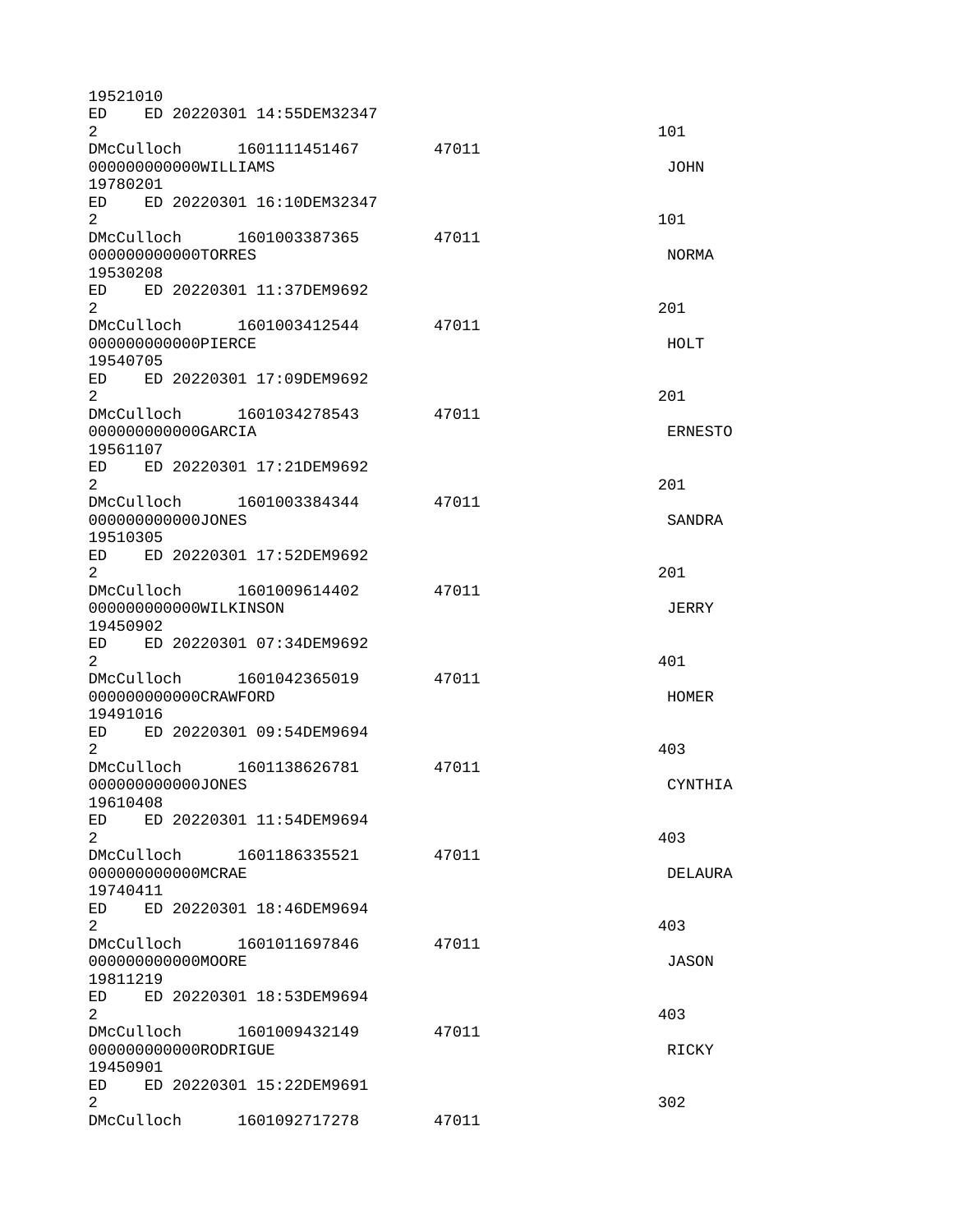| 19521010                                                                                                                                                                                                                                   |                                     |                              |       |                |  |  |  |  |
|--------------------------------------------------------------------------------------------------------------------------------------------------------------------------------------------------------------------------------------------|-------------------------------------|------------------------------|-------|----------------|--|--|--|--|
| ED.<br>2                                                                                                                                                                                                                                   |                                     | ED 20220301 14:55DEM32347    |       | 101            |  |  |  |  |
|                                                                                                                                                                                                                                            |                                     | DMcCulloch 1601111451467     | 47011 |                |  |  |  |  |
|                                                                                                                                                                                                                                            | 000000000000WILLIAMS<br><b>JOHN</b> |                              |       |                |  |  |  |  |
| 19780201                                                                                                                                                                                                                                   |                                     |                              |       |                |  |  |  |  |
| $\overline{2}$                                                                                                                                                                                                                             |                                     | ED ED 20220301 16:10DEM32347 |       | 101            |  |  |  |  |
| DMcCulloch                                                                                                                                                                                                                                 |                                     | 1601003387365                | 47011 |                |  |  |  |  |
| 000000000000T0RRES                                                                                                                                                                                                                         |                                     |                              |       | NORMA          |  |  |  |  |
| 19530208                                                                                                                                                                                                                                   |                                     |                              |       |                |  |  |  |  |
|                                                                                                                                                                                                                                            |                                     | ED ED 20220301 11:37DEM9692  |       |                |  |  |  |  |
| $\overline{2}$                                                                                                                                                                                                                             |                                     |                              |       | 201            |  |  |  |  |
|                                                                                                                                                                                                                                            |                                     | DMcCulloch 1601003412544     | 47011 |                |  |  |  |  |
| 000000000000PIERCE                                                                                                                                                                                                                         |                                     |                              |       | HOLT           |  |  |  |  |
| 19540705                                                                                                                                                                                                                                   |                                     |                              |       |                |  |  |  |  |
| ED.                                                                                                                                                                                                                                        |                                     | ED 20220301 17:09DEM9692     |       |                |  |  |  |  |
| 2                                                                                                                                                                                                                                          |                                     |                              |       | 201            |  |  |  |  |
|                                                                                                                                                                                                                                            |                                     | DMcCulloch 1601034278543     | 47011 |                |  |  |  |  |
| 000000000000GARCIA                                                                                                                                                                                                                         |                                     |                              |       | <b>ERNESTO</b> |  |  |  |  |
| 19561107                                                                                                                                                                                                                                   |                                     |                              |       |                |  |  |  |  |
| $\overline{2}$                                                                                                                                                                                                                             |                                     | ED ED 20220301 17:21DEM9692  |       | 201            |  |  |  |  |
|                                                                                                                                                                                                                                            |                                     | DMcCulloch 1601003384344     | 47011 |                |  |  |  |  |
| 000000000000JONES                                                                                                                                                                                                                          |                                     |                              |       | <b>SANDRA</b>  |  |  |  |  |
| 19510305                                                                                                                                                                                                                                   |                                     |                              |       |                |  |  |  |  |
| ED -                                                                                                                                                                                                                                       |                                     | ED 20220301 17:52DEM9692     |       |                |  |  |  |  |
| $\overline{2}$                                                                                                                                                                                                                             |                                     |                              |       | 201            |  |  |  |  |
| DMcCulloch                                                                                                                                                                                                                                 |                                     | 1601009614402                | 47011 |                |  |  |  |  |
| 000000000000WILKINSON                                                                                                                                                                                                                      |                                     |                              |       | <b>JERRY</b>   |  |  |  |  |
| 19450902                                                                                                                                                                                                                                   |                                     |                              |       |                |  |  |  |  |
|                                                                                                                                                                                                                                            |                                     | ED ED 20220301 07:34DEM9692  |       |                |  |  |  |  |
| $\overline{2}$                                                                                                                                                                                                                             |                                     |                              |       | 401            |  |  |  |  |
|                                                                                                                                                                                                                                            |                                     | DMcCulloch 1601042365019     | 47011 |                |  |  |  |  |
| 000000000000CRAWFORD                                                                                                                                                                                                                       |                                     |                              |       | <b>HOMER</b>   |  |  |  |  |
| 19491016                                                                                                                                                                                                                                   |                                     | ED 20220301 09:54DEM9694     |       |                |  |  |  |  |
| ED<br>$\overline{2}$                                                                                                                                                                                                                       |                                     |                              |       | 403            |  |  |  |  |
| DMcCulloch                                                                                                                                                                                                                                 |                                     | 1601138626781                | 47011 |                |  |  |  |  |
| 000000000000JONES                                                                                                                                                                                                                          |                                     |                              |       | CYNTHIA        |  |  |  |  |
| 19610408                                                                                                                                                                                                                                   |                                     |                              |       |                |  |  |  |  |
| ED                                                                                                                                                                                                                                         |                                     | ED 20220301 11:54DEM9694     |       |                |  |  |  |  |
| $\overline{2}$                                                                                                                                                                                                                             |                                     |                              |       | 403            |  |  |  |  |
|                                                                                                                                                                                                                                            |                                     | DMcCulloch 1601186335521     | 47011 |                |  |  |  |  |
| 000000000000MCRAE                                                                                                                                                                                                                          |                                     |                              |       | <b>DELAURA</b> |  |  |  |  |
| 19740411                                                                                                                                                                                                                                   |                                     |                              |       |                |  |  |  |  |
| ED                                                                                                                                                                                                                                         |                                     | ED 20220301 18:46DEM9694     |       |                |  |  |  |  |
| $\overline{2}$                                                                                                                                                                                                                             |                                     |                              |       | 403            |  |  |  |  |
| DMcCulloch                                                                                                                                                                                                                                 |                                     | 1601011697846                | 47011 |                |  |  |  |  |
| 000000000000MOORE                                                                                                                                                                                                                          |                                     |                              |       | <b>JASON</b>   |  |  |  |  |
| 19811219<br>ED and the set of the set of the set of the set of the set of the set of the set of the set of the set of the set of the set of the set of the set of the set of the set of the set of the set of the set of the set of the se |                                     | ED 20220301 18:53DEM9694     |       |                |  |  |  |  |
| $\overline{2}$                                                                                                                                                                                                                             |                                     |                              |       | 403            |  |  |  |  |
| DMcCulloch                                                                                                                                                                                                                                 |                                     | 1601009432149                | 47011 |                |  |  |  |  |
| 000000000000R0DRIGUE                                                                                                                                                                                                                       |                                     |                              |       | RICKY          |  |  |  |  |
| 19450901                                                                                                                                                                                                                                   |                                     |                              |       |                |  |  |  |  |
| ED<br>ED 20220301 15:22DEM9691                                                                                                                                                                                                             |                                     |                              |       |                |  |  |  |  |
| $\overline{2}$                                                                                                                                                                                                                             |                                     |                              |       | 302            |  |  |  |  |
| DMcCulloch                                                                                                                                                                                                                                 |                                     | 1601092717278                | 47011 |                |  |  |  |  |